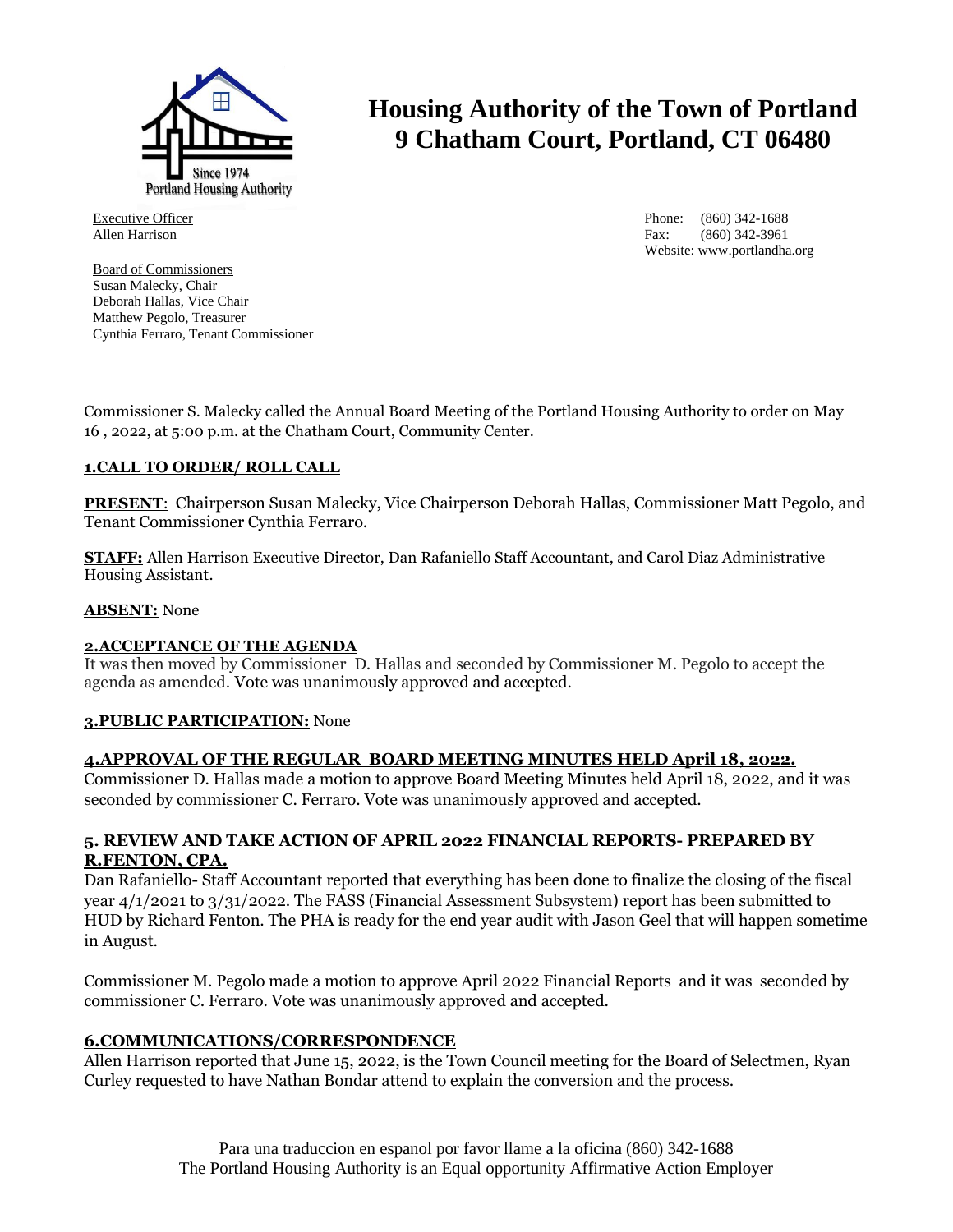

Executive Officer Allen Harrison

Board of Commissioners Susan Malecky, Chair Deborah Hallas, Vice Chair Matthew Pegolo, Treasurer Cynthia Ferraro, Tenant Commissioner

# **Housing Authority of the Town of Portland 9 Chatham Court, Portland, CT 06480**

Phone: (860) 342-1688 Fax: (860) 342-3961 Website: www.portlandha.org

Commissioner S. Malecky called the Annual Board Meeting of the Portland Housing Authority to order on May 16 , 2022, at 5:00 p.m. at the Chatham Court, Community Center.

# **1.CALL TO ORDER/ ROLL CALL**

**PRESENT**: Chairperson Susan Malecky, Vice Chairperson Deborah Hallas, Commissioner Matt Pegolo, and Tenant Commissioner Cynthia Ferraro.

**STAFF:** Allen Harrison Executive Director, Dan Rafaniello Staff Accountant, and Carol Diaz Administrative Housing Assistant.

#### **ABSENT:** None

#### **2.ACCEPTANCE OF THE AGENDA**

It was then moved by Commissioner D. Hallas and seconded by Commissioner M. Pegolo to accept the agenda as amended. Vote was unanimously approved and accepted.

## **3.PUBLIC PARTICIPATION:** None

## **4.APPROVAL OF THE REGULAR BOARD MEETING MINUTES HELD April 18, 2022.**

Commissioner D. Hallas made a motion to approve Board Meeting Minutes held April 18, 2022, and it was seconded by commissioner C. Ferraro. Vote was unanimously approved and accepted.

## **5. REVIEW AND TAKE ACTION OF APRIL 2022 FINANCIAL REPORTS- PREPARED BY R.FENTON, CPA.**

Dan Rafaniello- Staff Accountant reported that everything has been done to finalize the closing of the fiscal year 4/1/2021 to 3/31/2022. The FASS (Financial Assessment Subsystem) report has been submitted to HUD by Richard Fenton. The PHA is ready for the end year audit with Jason Geel that will happen sometime in August.

Commissioner M. Pegolo made a motion to approve April 2022 Financial Reports and it was seconded by commissioner C. Ferraro. Vote was unanimously approved and accepted.

## **6.COMMUNICATIONS/CORRESPONDENCE**

Allen Harrison reported that June 15, 2022, is the Town Council meeting for the Board of Selectmen, Ryan Curley requested to have Nathan Bondar attend to explain the conversion and the process.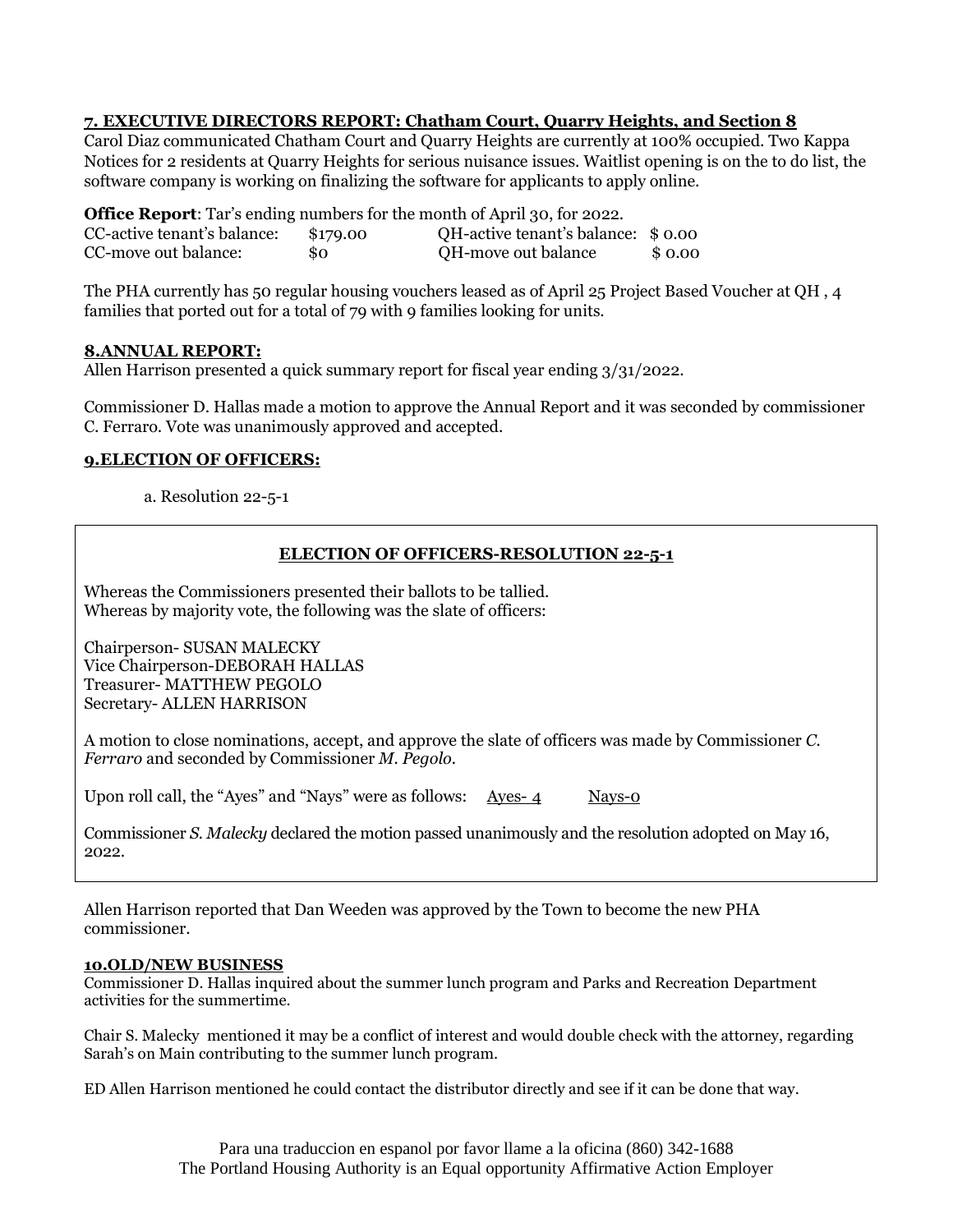# **7. EXECUTIVE DIRECTORS REPORT: Chatham Court, Quarry Heights, and Section 8**

Carol Diaz communicated Chatham Court and Quarry Heights are currently at 100% occupied. Two Kappa Notices for 2 residents at Quarry Heights for serious nuisance issues. Waitlist opening is on the to do list, the software company is working on finalizing the software for applicants to apply online.

**Office Report**: Tar's ending numbers for the month of April 30, for 2022. CC-active tenant's balance:  $$179.00$  QH-active tenant's balance:  $$0.00$ <br>CC-move out balance:  $$0.00$ \$0.00 **COM-move out balance** \$ 0.00

The PHA currently has 50 regular housing vouchers leased as of April 25 Project Based Voucher at QH , 4 families that ported out for a total of 79 with 9 families looking for units.

## **8.ANNUAL REPORT:**

Allen Harrison presented a quick summary report for fiscal year ending 3/31/2022.

Commissioner D. Hallas made a motion to approve the Annual Report and it was seconded by commissioner C. Ferraro. Vote was unanimously approved and accepted.

## **9.ELECTION OF OFFICERS:**

a. Resolution 22-5-1

## **ELECTION OF OFFICERS-RESOLUTION 22-5-1**

Whereas the Commissioners presented their ballots to be tallied. Whereas by majority vote, the following was the slate of officers:

Chairperson- SUSAN MALECKY Vice Chairperson-DEBORAH HALLAS Treasurer- MATTHEW PEGOLO Secretary- ALLEN HARRISON

A motion to close nominations, accept, and approve the slate of officers was made by Commissioner *C. Ferraro* and seconded by Commissioner *M. Pegolo.*

Upon roll call, the "Ayes" and "Nays" were as follows: Ayes-4 Nays-0

Commissioner *S. Malecky* declared the motion passed unanimously and the resolution adopted on May 16, 2022.

Allen Harrison reported that Dan Weeden was approved by the Town to become the new PHA commissioner.

#### **10.OLD/NEW BUSINESS**

Commissioner D. Hallas inquired about the summer lunch program and Parks and Recreation Department activities for the summertime.

Chair S. Malecky mentioned it may be a conflict of interest and would double check with the attorney, regarding Sarah's on Main contributing to the summer lunch program.

ED Allen Harrison mentioned he could contact the distributor directly and see if it can be done that way.